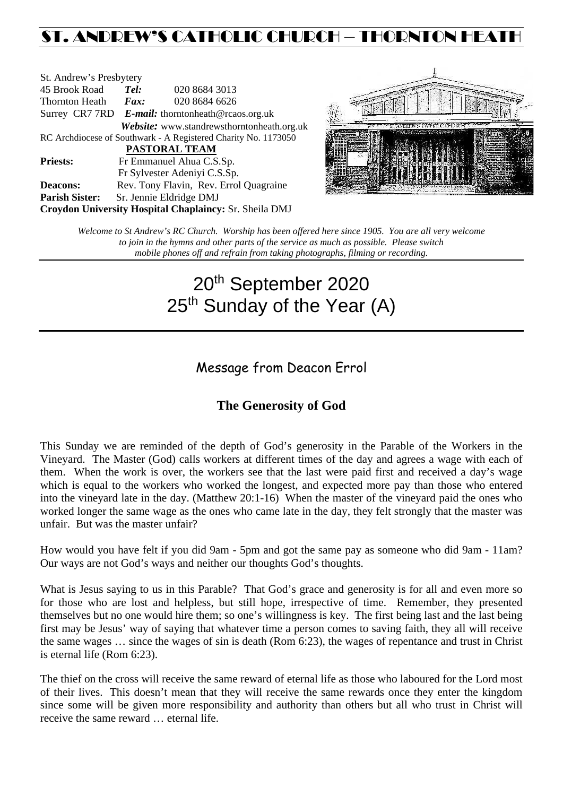## ST. ANDREW'S CATHOLIC CHURCH – THORNTON HEATH

| St. Andrew's Presbytery                                        |                                                      |  |                                            |  |  |
|----------------------------------------------------------------|------------------------------------------------------|--|--------------------------------------------|--|--|
| 45 Brook Road                                                  | Tel:                                                 |  | 020 8684 3013                              |  |  |
| Thornton Heath                                                 | Fax:                                                 |  | 020 8684 6626                              |  |  |
|                                                                | Surrey CR7 7RD $E$ -mail: thorntonheath@rcaos.org.uk |  |                                            |  |  |
|                                                                |                                                      |  | Website: www.standrewsthorntonheath.org.uk |  |  |
| RC Archdiocese of Southwark - A Registered Charity No. 1173050 |                                                      |  |                                            |  |  |
| PASTORAL TEAM                                                  |                                                      |  |                                            |  |  |
| <b>Priests:</b>                                                | Fr Emmanuel Ahua C.S.Sp.                             |  |                                            |  |  |
|                                                                |                                                      |  | Fr Sylvester Adeniyi C.S.Sp.               |  |  |
| <b>Deacons:</b>                                                |                                                      |  | Rev. Tony Flavin, Rev. Errol Quagraine     |  |  |
| <b>Parish Sister:</b>                                          | Sr. Jennie Eldridge DMJ                              |  |                                            |  |  |
| Croydon University Hospital Chaplaincy: Sr. Sheila DMJ         |                                                      |  |                                            |  |  |



*Welcome to St Andrew's RC Church. Worship has been offered here since 1905. You are all very welcome to join in the hymns and other parts of the service as much as possible. Please switch mobile phones off and refrain from taking photographs, filming or recording.*

# 20th September 2020 25<sup>th</sup> Sunday of the Year (A)

Message from Deacon Errol

### **The Generosity of God**

This Sunday we are reminded of the depth of God's generosity in the Parable of the Workers in the Vineyard. The Master (God) calls workers at different times of the day and agrees a wage with each of them. When the work is over, the workers see that the last were paid first and received a day's wage which is equal to the workers who worked the longest, and expected more pay than those who entered into the vineyard late in the day. (Matthew 20:1-16) When the master of the vineyard paid the ones who worked longer the same wage as the ones who came late in the day, they felt strongly that the master was unfair. But was the master unfair?

How would you have felt if you did 9am - 5pm and got the same pay as someone who did 9am - 11am? Our ways are not God's ways and neither our thoughts God's thoughts.

What is Jesus saying to us in this Parable? That God's grace and generosity is for all and even more so for those who are lost and helpless, but still hope, irrespective of time. Remember, they presented themselves but no one would hire them; so one's willingness is key. The first being last and the last being first may be Jesus' way of saying that whatever time a person comes to saving faith, they all will receive the same wages … since the wages of sin is death (Rom 6:23), the wages of repentance and trust in Christ is eternal life (Rom 6:23).

The thief on the cross will receive the same reward of eternal life as those who laboured for the Lord most of their lives. This doesn't mean that they will receive the same rewards once they enter the kingdom since some will be given more responsibility and authority than others but all who trust in Christ will receive the same reward … eternal life.